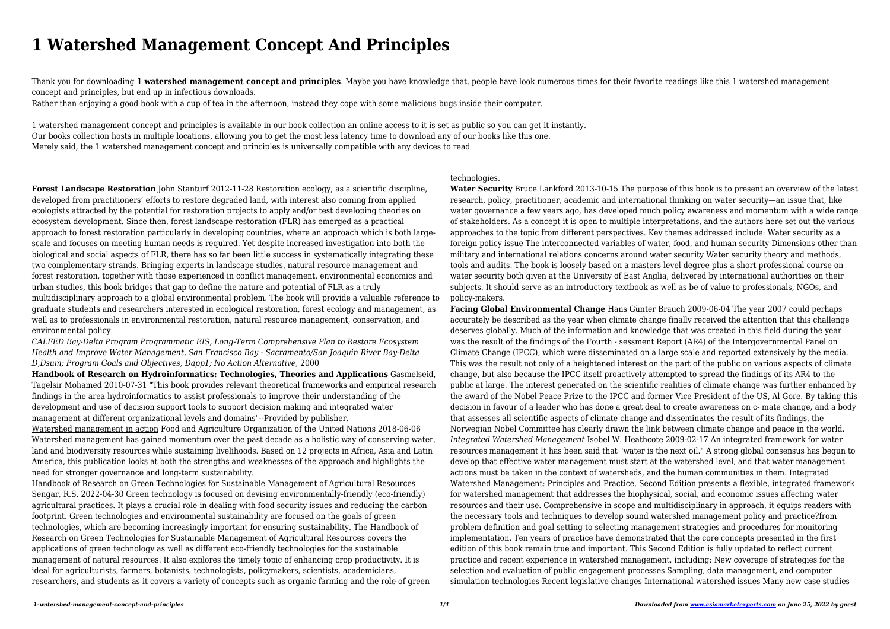# **1 Watershed Management Concept And Principles**

Thank you for downloading **1 watershed management concept and principles**. Maybe you have knowledge that, people have look numerous times for their favorite readings like this 1 watershed management concept and principles, but end up in infectious downloads.

Rather than enjoying a good book with a cup of tea in the afternoon, instead they cope with some malicious bugs inside their computer.

1 watershed management concept and principles is available in our book collection an online access to it is set as public so you can get it instantly. Our books collection hosts in multiple locations, allowing you to get the most less latency time to download any of our books like this one. Merely said, the 1 watershed management concept and principles is universally compatible with any devices to read

**Forest Landscape Restoration** John Stanturf 2012-11-28 Restoration ecology, as a scientific discipline, developed from practitioners' efforts to restore degraded land, with interest also coming from applied ecologists attracted by the potential for restoration projects to apply and/or test developing theories on ecosystem development. Since then, forest landscape restoration (FLR) has emerged as a practical approach to forest restoration particularly in developing countries, where an approach which is both largescale and focuses on meeting human needs is required. Yet despite increased investigation into both the biological and social aspects of FLR, there has so far been little success in systematically integrating these two complementary strands. Bringing experts in landscape studies, natural resource management and forest restoration, together with those experienced in conflict management, environmental economics and urban studies, this book bridges that gap to define the nature and potential of FLR as a truly multidisciplinary approach to a global environmental problem. The book will provide a valuable reference to graduate students and researchers interested in ecological restoration, forest ecology and management, as well as to professionals in environmental restoration, natural resource management, conservation, and environmental policy.

*CALFED Bay-Delta Program Programmatic EIS, Long-Term Comprehensive Plan to Restore Ecosystem Health and Improve Water Management, San Francisco Bay - Sacramento/San Joaquin River Bay-Delta D,Dsum; Program Goals and Objectives, Dapp1; No Action Alternative,* 2000

**Handbook of Research on Hydroinformatics: Technologies, Theories and Applications** Gasmelseid, Tagelsir Mohamed 2010-07-31 "This book provides relevant theoretical frameworks and empirical research findings in the area hydroinformatics to assist professionals to improve their understanding of the development and use of decision support tools to support decision making and integrated water management at different organizational levels and domains"--Provided by publisher.

Watershed management in action Food and Agriculture Organization of the United Nations 2018-06-06 Watershed management has gained momentum over the past decade as a holistic way of conserving water, land and biodiversity resources while sustaining livelihoods. Based on 12 projects in Africa, Asia and Latin America, this publication looks at both the strengths and weaknesses of the approach and highlights the need for stronger governance and long-term sustainability.

Handbook of Research on Green Technologies for Sustainable Management of Agricultural Resources Sengar, R.S. 2022-04-30 Green technology is focused on devising environmentally-friendly (eco-friendly) agricultural practices. It plays a crucial role in dealing with food security issues and reducing the carbon footprint. Green technologies and environmental sustainability are focused on the goals of green technologies, which are becoming increasingly important for ensuring sustainability. The Handbook of Research on Green Technologies for Sustainable Management of Agricultural Resources covers the applications of green technology as well as different eco-friendly technologies for the sustainable management of natural resources. It also explores the timely topic of enhancing crop productivity. It is ideal for agriculturists, farmers, botanists, technologists, policymakers, scientists, academicians, researchers, and students as it covers a variety of concepts such as organic farming and the role of green

#### technologies.

**Water Security** Bruce Lankford 2013-10-15 The purpose of this book is to present an overview of the latest research, policy, practitioner, academic and international thinking on water security—an issue that, like water governance a few years ago, has developed much policy awareness and momentum with a wide range of stakeholders. As a concept it is open to multiple interpretations, and the authors here set out the various approaches to the topic from different perspectives. Key themes addressed include: Water security as a foreign policy issue The interconnected variables of water, food, and human security Dimensions other than military and international relations concerns around water security Water security theory and methods, tools and audits. The book is loosely based on a masters level degree plus a short professional course on water security both given at the University of East Anglia, delivered by international authorities on their subjects. It should serve as an introductory textbook as well as be of value to professionals, NGOs, and policy-makers.

**Facing Global Environmental Change** Hans Günter Brauch 2009-06-04 The year 2007 could perhaps accurately be described as the year when climate change finally received the attention that this challenge deserves globally. Much of the information and knowledge that was created in this field during the year was the result of the findings of the Fourth - sessment Report (AR4) of the Intergovernmental Panel on Climate Change (IPCC), which were disseminated on a large scale and reported extensively by the media. This was the result not only of a heightened interest on the part of the public on various aspects of climate change, but also because the IPCC itself proactively attempted to spread the findings of its AR4 to the public at large. The interest generated on the scientific realities of climate change was further enhanced by the award of the Nobel Peace Prize to the IPCC and former Vice President of the US, Al Gore. By taking this decision in favour of a leader who has done a great deal to create awareness on c- mate change, and a body that assesses all scientific aspects of climate change and disseminates the result of its findings, the Norwegian Nobel Committee has clearly drawn the link between climate change and peace in the world. *Integrated Watershed Management* Isobel W. Heathcote 2009-02-17 An integrated framework for water resources management It has been said that "water is the next oil." A strong global consensus has begun to develop that effective water management must start at the watershed level, and that water management actions must be taken in the context of watersheds, and the human communities in them. Integrated Watershed Management: Principles and Practice, Second Edition presents a flexible, integrated framework for watershed management that addresses the biophysical, social, and economic issues affecting water resources and their use. Comprehensive in scope and multidisciplinary in approach, it equips readers with the necessary tools and techniques to develop sound watershed management policy and practice?from problem definition and goal setting to selecting management strategies and procedures for monitoring implementation. Ten years of practice have demonstrated that the core concepts presented in the first edition of this book remain true and important. This Second Edition is fully updated to reflect current practice and recent experience in watershed management, including: New coverage of strategies for the selection and evaluation of public engagement processes Sampling, data management, and computer simulation technologies Recent legislative changes International watershed issues Many new case studies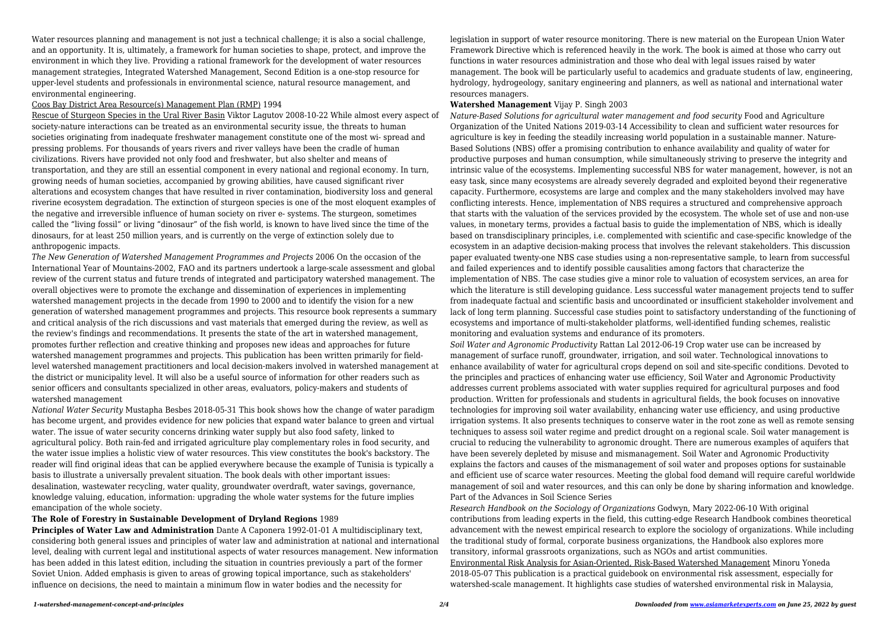Water resources planning and management is not just a technical challenge; it is also a social challenge, and an opportunity. It is, ultimately, a framework for human societies to shape, protect, and improve the environment in which they live. Providing a rational framework for the development of water resources management strategies, Integrated Watershed Management, Second Edition is a one-stop resource for upper-level students and professionals in environmental science, natural resource management, and environmental engineering.

### Coos Bay District Area Resource(s) Management Plan (RMP) 1994

Rescue of Sturgeon Species in the Ural River Basin Viktor Lagutov 2008-10-22 While almost every aspect of society-nature interactions can be treated as an environmental security issue, the threats to human societies originating from inadequate freshwater management constitute one of the most wi- spread and pressing problems. For thousands of years rivers and river valleys have been the cradle of human civilizations. Rivers have provided not only food and freshwater, but also shelter and means of transportation, and they are still an essential component in every national and regional economy. In turn, growing needs of human societies, accompanied by growing abilities, have caused significant river alterations and ecosystem changes that have resulted in river contamination, biodiversity loss and general riverine ecosystem degradation. The extinction of sturgeon species is one of the most eloquent examples of the negative and irreversible influence of human society on river e- systems. The sturgeon, sometimes called the "living fossil" or living "dinosaur" of the fish world, is known to have lived since the time of the dinosaurs, for at least 250 million years, and is currently on the verge of extinction solely due to anthropogenic impacts.

*The New Generation of Watershed Management Programmes and Projects* 2006 On the occasion of the International Year of Mountains-2002, FAO and its partners undertook a large-scale assessment and global review of the current status and future trends of integrated and participatory watershed management. The overall objectives were to promote the exchange and dissemination of experiences in implementing watershed management projects in the decade from 1990 to 2000 and to identify the vision for a new generation of watershed management programmes and projects. This resource book represents a summary and critical analysis of the rich discussions and vast materials that emerged during the review, as well as the review's findings and recommendations. It presents the state of the art in watershed management, promotes further reflection and creative thinking and proposes new ideas and approaches for future watershed management programmes and projects. This publication has been written primarily for fieldlevel watershed management practitioners and local decision-makers involved in watershed management at the district or municipality level. It will also be a useful source of information for other readers such as senior officers and consultants specialized in other areas, evaluators, policy-makers and students of watershed management

*National Water Security* Mustapha Besbes 2018-05-31 This book shows how the change of water paradigm has become urgent, and provides evidence for new policies that expand water balance to green and virtual water. The issue of water security concerns drinking water supply but also food safety, linked to agricultural policy. Both rain-fed and irrigated agriculture play complementary roles in food security, and the water issue implies a holistic view of water resources. This view constitutes the book's backstory. The reader will find original ideas that can be applied everywhere because the example of Tunisia is typically a basis to illustrate a universally prevalent situation. The book deals with other important issues: desalination, wastewater recycling, water quality, groundwater overdraft, water savings, governance, knowledge valuing, education, information: upgrading the whole water systems for the future implies emancipation of the whole society.

## **The Role of Forestry in Sustainable Development of Dryland Regions** 1989

**Principles of Water Law and Administration** Dante A Caponera 1992-01-01 A multidisciplinary text, considering both general issues and principles of water law and administration at national and international level, dealing with current legal and institutional aspects of water resources management. New information has been added in this latest edition, including the situation in countries previously a part of the former Soviet Union. Added emphasis is given to areas of growing topical importance, such as stakeholders' influence on decisions, the need to maintain a minimum flow in water bodies and the necessity for

### **Watershed Management** Vijay P. Singh 2003

*Nature-Based Solutions for agricultural water management and food security* Food and Agriculture Organization of the United Nations 2019-03-14 Accessibility to clean and sufficient water resources for agriculture is key in feeding the steadily increasing world population in a sustainable manner. Nature-Based Solutions (NBS) offer a promising contribution to enhance availability and quality of water for productive purposes and human consumption, while simultaneously striving to preserve the integrity and intrinsic value of the ecosystems. Implementing successful NBS for water management, however, is not an easy task, since many ecosystems are already severely degraded and exploited beyond their regenerative capacity. Furthermore, ecosystems are large and complex and the many stakeholders involved may have conflicting interests. Hence, implementation of NBS requires a structured and comprehensive approach that starts with the valuation of the services provided by the ecosystem. The whole set of use and non-use values, in monetary terms, provides a factual basis to guide the implementation of NBS, which is ideally based on transdisciplinary principles, i.e. complemented with scientific and case-specific knowledge of the ecosystem in an adaptive decision-making process that involves the relevant stakeholders. This discussion paper evaluated twenty-one NBS case studies using a non-representative sample, to learn from successful and failed experiences and to identify possible causalities among factors that characterize the implementation of NBS. The case studies give a minor role to valuation of ecosystem services, an area for which the literature is still developing guidance. Less successful water management projects tend to suffer from inadequate factual and scientific basis and uncoordinated or insufficient stakeholder involvement and lack of long term planning. Successful case studies point to satisfactory understanding of the functioning of ecosystems and importance of multi-stakeholder platforms, well-identified funding schemes, realistic monitoring and evaluation systems and endurance of its promoters. *Soil Water and Agronomic Productivity* Rattan Lal 2012-06-19 Crop water use can be increased by management of surface runoff, groundwater, irrigation, and soil water. Technological innovations to enhance availability of water for agricultural crops depend on soil and site-specific conditions. Devoted to the principles and practices of enhancing water use efficiency, Soil Water and Agronomic Productivity addresses current problems associated with water supplies required for agricultural purposes and food production. Written for professionals and students in agricultural fields, the book focuses on innovative technologies for improving soil water availability, enhancing water use efficiency, and using productive irrigation systems. It also presents techniques to conserve water in the root zone as well as remote sensing techniques to assess soil water regime and predict drought on a regional scale. Soil water management is crucial to reducing the vulnerability to agronomic drought. There are numerous examples of aquifers that have been severely depleted by misuse and mismanagement. Soil Water and Agronomic Productivity explains the factors and causes of the mismanagement of soil water and proposes options for sustainable and efficient use of scarce water resources. Meeting the global food demand will require careful worldwide management of soil and water resources, and this can only be done by sharing information and knowledge. Part of the Advances in Soil Science Series

*Research Handbook on the Sociology of Organizations* Godwyn, Mary 2022-06-10 With original contributions from leading experts in the field, this cutting-edge Research Handbook combines theoretical advancement with the newest empirical research to explore the sociology of organizations. While including the traditional study of formal, corporate business organizations, the Handbook also explores more transitory, informal grassroots organizations, such as NGOs and artist communities. Environmental Risk Analysis for Asian-Oriented, Risk-Based Watershed Management Minoru Yoneda 2018-05-07 This publication is a practical guidebook on environmental risk assessment, especially for watershed-scale management. It highlights case studies of watershed environmental risk in Malaysia,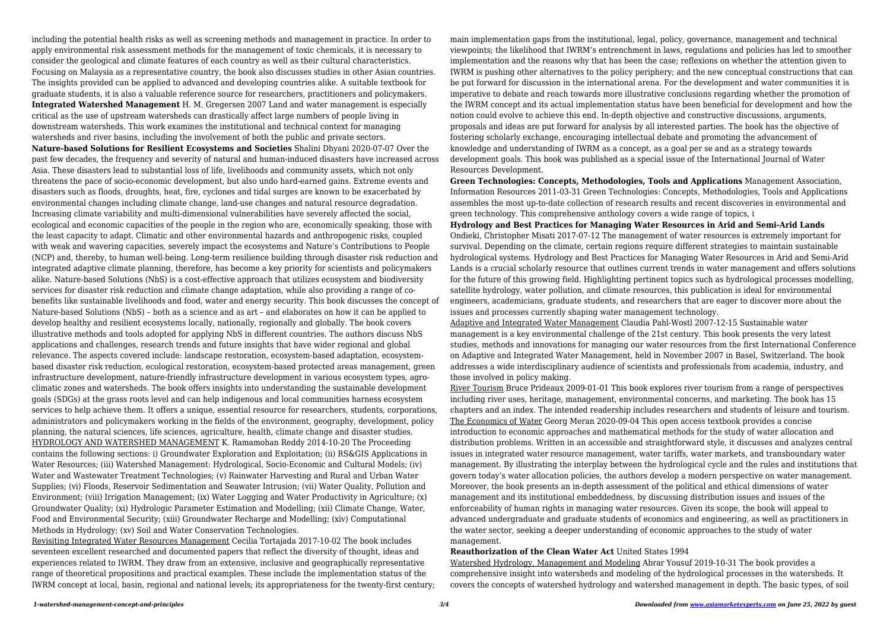including the potential health risks as well as screening methods and management in practice. In order to apply environmental risk assessment methods for the management of toxic chemicals, it is necessary to consider the geological and climate features of each country as well as their cultural characteristics. Focusing on Malaysia as a representative country, the book also discusses studies in other Asian countries. The insights provided can be applied to advanced and developing countries alike. A suitable textbook for graduate students, it is also a valuable reference source for researchers, practitioners and policymakers. **Integrated Watershed Management** H. M. Gregersen 2007 Land and water management is especially critical as the use of upstream watersheds can drastically affect large numbers of people living in downstream watersheds. This work examines the institutional and technical context for managing watersheds and river basins, including the involvement of both the public and private sectors. **Nature-based Solutions for Resilient Ecosystems and Societies** Shalini Dhyani 2020-07-07 Over the past few decades, the frequency and severity of natural and human-induced disasters have increased across Asia. These disasters lead to substantial loss of life, livelihoods and community assets, which not only threatens the pace of socio-economic development, but also undo hard-earned gains. Extreme events and disasters such as floods, droughts, heat, fire, cyclones and tidal surges are known to be exacerbated by environmental changes including climate change, land-use changes and natural resource degradation. Increasing climate variability and multi-dimensional vulnerabilities have severely affected the social, ecological and economic capacities of the people in the region who are, economically speaking, those with the least capacity to adapt. Climatic and other environmental hazards and anthropogenic risks, coupled with weak and wavering capacities, severely impact the ecosystems and Nature's Contributions to People (NCP) and, thereby, to human well-being. Long-term resilience building through disaster risk reduction and integrated adaptive climate planning, therefore, has become a key priority for scientists and policymakers alike. Nature-based Solutions (NbS) is a cost-effective approach that utilizes ecosystem and biodiversity services for disaster risk reduction and climate change adaptation, while also providing a range of cobenefits like sustainable livelihoods and food, water and energy security. This book discusses the concept of Nature-based Solutions (NbS) – both as a science and as art – and elaborates on how it can be applied to develop healthy and resilient ecosystems locally, nationally, regionally and globally. The book covers illustrative methods and tools adopted for applying NbS in different countries. The authors discuss NbS applications and challenges, research trends and future insights that have wider regional and global relevance. The aspects covered include: landscape restoration, ecosystem-based adaptation, ecosystembased disaster risk reduction, ecological restoration, ecosystem-based protected areas management, green infrastructure development, nature-friendly infrastructure development in various ecosystem types, agroclimatic zones and watersheds. The book offers insights into understanding the sustainable development goals (SDGs) at the grass roots level and can help indigenous and local communities harness ecosystem services to help achieve them. It offers a unique, essential resource for researchers, students, corporations, administrators and policymakers working in the fields of the environment, geography, development, policy planning, the natural sciences, life sciences, agriculture, health, climate change and disaster studies. HYDROLOGY AND WATERSHED MANAGEMENT K. Ramamohan Reddy 2014-10-20 The Proceeding contains the following sections: i) Groundwater Exploration and Exploitation; (ii) RS&GIS Applications in Water Resources; (iii) Watershed Management: Hydrological, Socio-Economic and Cultural Models; (iv) Water and Wastewater Treatment Technologies; (v) Rainwater Harvesting and Rural and Urban Water Supplies; (vi) Floods, Reservoir Sedimentation and Seawater Intrusion; (vii) Water Quality, Pollution and Environment; (viii) Irrigation Management; (ix) Water Logging and Water Productivity in Agriculture; (x) Groundwater Quality; (xi) Hydrologic Parameter Estimation and Modelling; (xii) Climate Change, Water, Food and Environmental Security; (xiii) Groundwater Recharge and Modelling; (xiv) Computational Methods in Hydrology; (xv) Soil and Water Conservation Technologies.

Revisiting Integrated Water Resources Management Cecilia Tortajada 2017-10-02 The book includes seventeen excellent researched and documented papers that reflect the diversity of thought, ideas and experiences related to IWRM. They draw from an extensive, inclusive and geographically representative range of theoretical propositions and practical examples. These include the implementation status of the IWRM concept at local, basin, regional and national levels; its appropriateness for the twenty-first century;

main implementation gaps from the institutional, legal, policy, governance, management and technical viewpoints; the likelihood that IWRM's entrenchment in laws, regulations and policies has led to smoother implementation and the reasons why that has been the case; reflexions on whether the attention given to IWRM is pushing other alternatives to the policy periphery; and the new conceptual constructions that can be put forward for discussion in the international arena. For the development and water communities it is imperative to debate and reach towards more illustrative conclusions regarding whether the promotion of the IWRM concept and its actual implementation status have been beneficial for development and how the notion could evolve to achieve this end. In-depth objective and constructive discussions, arguments, proposals and ideas are put forward for analysis by all interested parties. The book has the objective of fostering scholarly exchange, encouraging intellectual debate and promoting the advancement of knowledge and understanding of IWRM as a concept, as a goal per se and as a strategy towards development goals. This book was published as a special issue of the International Journal of Water Resources Development.

**Green Technologies: Concepts, Methodologies, Tools and Applications** Management Association, Information Resources 2011-03-31 Green Technologies: Concepts, Methodologies, Tools and Applications assembles the most up-to-date collection of research results and recent discoveries in environmental and green technology. This comprehensive anthology covers a wide range of topics, i **Hydrology and Best Practices for Managing Water Resources in Arid and Semi-Arid Lands** Ondieki, Christopher Misati 2017-07-12 The management of water resources is extremely important for survival. Depending on the climate, certain regions require different strategies to maintain sustainable hydrological systems. Hydrology and Best Practices for Managing Water Resources in Arid and Semi-Arid Lands is a crucial scholarly resource that outlines current trends in water management and offers solutions for the future of this growing field. Highlighting pertinent topics such as hydrological processes modelling, satellite hydrology, water pollution, and climate resources, this publication is ideal for environmental engineers, academicians, graduate students, and researchers that are eager to discover more about the issues and processes currently shaping water management technology. Adaptive and Integrated Water Management Claudia Pahl-Wostl 2007-12-15 Sustainable water management is a key environmental challenge of the 21st century. This book presents the very latest studies, methods and innovations for managing our water resources from the first International Conference on Adaptive and Integrated Water Management, held in November 2007 in Basel, Switzerland. The book addresses a wide interdisciplinary audience of scientists and professionals from academia, industry, and those involved in policy making.

River Tourism Bruce Prideaux 2009-01-01 This book explores river tourism from a range of perspectives including river uses, heritage, management, environmental concerns, and marketing. The book has 15 chapters and an index. The intended readership includes researchers and students of leisure and tourism. The Economics of Water Georg Meran 2020-09-04 This open access textbook provides a concise introduction to economic approaches and mathematical methods for the study of water allocation and distribution problems. Written in an accessible and straightforward style, it discusses and analyzes central issues in integrated water resource management, water tariffs, water markets, and transboundary water management. By illustrating the interplay between the hydrological cycle and the rules and institutions that govern today's water allocation policies, the authors develop a modern perspective on water management. Moreover, the book presents an in-depth assessment of the political and ethical dimensions of water management and its institutional embeddedness, by discussing distribution issues and issues of the enforceability of human rights in managing water resources. Given its scope, the book will appeal to advanced undergraduate and graduate students of economics and engineering, as well as practitioners in the water sector, seeking a deeper understanding of economic approaches to the study of water management.

**Reauthorization of the Clean Water Act** United States 1994 Watershed Hydrology, Management and Modeling Abrar Yousuf 2019-10-31 The book provides a comprehensive insight into watersheds and modeling of the hydrological processes in the watersheds. It covers the concepts of watershed hydrology and watershed management in depth. The basic types, of soil